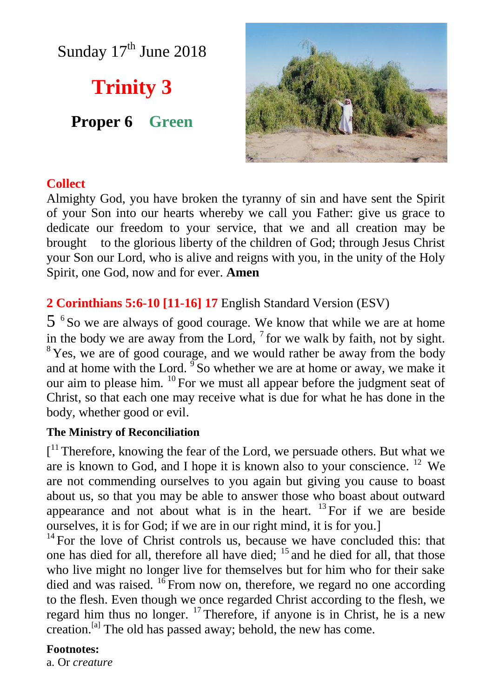Sunday 17<sup>th</sup> June 2018

**Trinity 3**

**Proper 6 Green**



## **Collect**

Almighty God, you have broken the tyranny of sin and have sent the Spirit of your Son into our hearts whereby we call you Father: give us grace to dedicate our freedom to your service, that we and all creation may be brought to the glorious liberty of the children of God; through Jesus Christ your Son our Lord, who is alive and reigns with you, in the unity of the Holy Spirit, one God, now and for ever. **Amen**

# **2 Corinthians 5:6-10 [11-16] 17** English Standard Version (ESV)

5 <sup>6</sup> So we are always of good courage. We know that while we are at home in the body we are away from the Lord,  $\frac{7}{1}$  for we walk by faith, not by sight. <sup>8</sup>Yes, we are of good courage, and we would rather be away from the body and at home with the Lord.  $\mathrm{S}^9$  So whether we are at home or away, we make it our aim to please him. <sup>10</sup> For we must all appear before the judgment seat of Christ, so that each one may receive what is due for what he has done in the body, whether good or evil.

#### **The Ministry of Reconciliation**

[<sup>11</sup> Therefore, knowing the fear of the Lord, we persuade others. But what we are is known to God, and I hope it is known also to your conscience. <sup>12</sup> We are not commending ourselves to you again but giving you cause to boast about us, so that you may be able to answer those who boast about outward appearance and not about what is in the heart. <sup>13</sup> For if we are beside ourselves, it is for God; if we are in our right mind, it is for you.]

 $14$  For the love of Christ controls us, because we have concluded this: that one has died for all, therefore all have died; <sup>15</sup> and he died for all, that those who live might no longer live for themselves but for him who for their sake died and was raised.  $^{16}$  From now on, therefore, we regard no one according to the flesh. Even though we once regarded Christ according to the flesh, we regard him thus no longer.  $17$  Therefore, if anyone is in Christ, he is a new creation.[a] The old has passed away; behold, the new has come.

#### **Footnotes:**

a. Or *creature*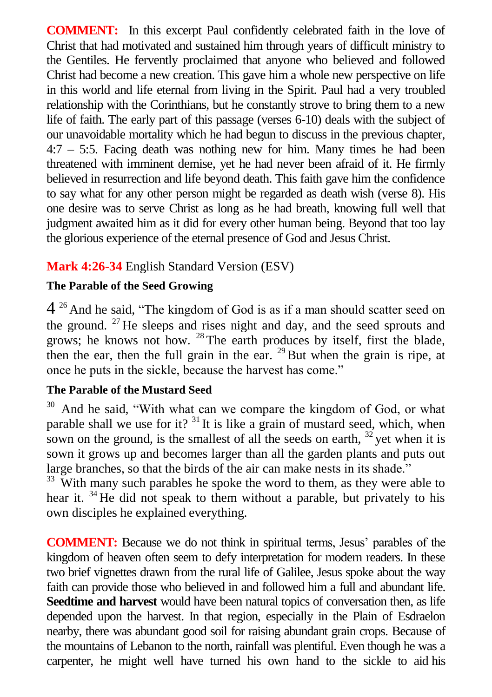**COMMENT:** In this excerpt Paul confidently celebrated faith in the love of Christ that had motivated and sustained him through years of difficult ministry to the Gentiles. He fervently proclaimed that anyone who believed and followed Christ had become a new creation. This gave him a whole new perspective on life in this world and life eternal from living in the Spirit. Paul had a very troubled relationship with the Corinthians, but he constantly strove to bring them to a new life of faith. The early part of this passage (verses 6-10) deals with the subject of our unavoidable mortality which he had begun to discuss in the previous chapter, 4:7 – 5:5. Facing death was nothing new for him. Many times he had been threatened with imminent demise, yet he had never been afraid of it. He firmly believed in resurrection and life beyond death. This faith gave him the confidence to say what for any other person might be regarded as death wish (verse 8). His one desire was to serve Christ as long as he had breath, knowing full well that judgment awaited him as it did for every other human being. Beyond that too lay the glorious experience of the eternal presence of God and Jesus Christ.

# **Mark 4:26-34** English Standard Version (ESV)

## **The Parable of the Seed Growing**

4<sup>26</sup> And he said, "The kingdom of God is as if a man should scatter seed on the ground. <sup>27</sup> He sleeps and rises night and day, and the seed sprouts and grows; he knows not how. <sup>28</sup> The earth produces by itself, first the blade, then the ear, then the full grain in the ear.  $^{29}$  But when the grain is ripe, at once he puts in the sickle, because the harvest has come."

## **The Parable of the Mustard Seed**

And he said, "With what can we compare the kingdom of God, or what parable shall we use for it? <sup>31</sup> It is like a grain of mustard seed, which, when sown on the ground, is the smallest of all the seeds on earth,  $32$  yet when it is sown it grows up and becomes larger than all the garden plants and puts out large branches, so that the birds of the air can make nests in its shade."

 $33$  With many such parables he spoke the word to them, as they were able to hear it. <sup>34</sup> He did not speak to them without a parable, but privately to his own disciples he explained everything.

**COMMENT:** Because we do not think in spiritual terms, Jesus' parables of the kingdom of heaven often seem to defy interpretation for modern readers. In these two brief vignettes drawn from the rural life of Galilee, Jesus spoke about the way faith can provide those who believed in and followed him a full and abundant life. **Seedtime and harvest** would have been natural topics of conversation then, as life depended upon the harvest. In that region, especially in the Plain of Esdraelon nearby, there was abundant good soil for raising abundant grain crops. Because of the mountains of Lebanon to the north, rainfall was plentiful. Even though he was a carpenter, he might well have turned his own hand to the sickle to aid his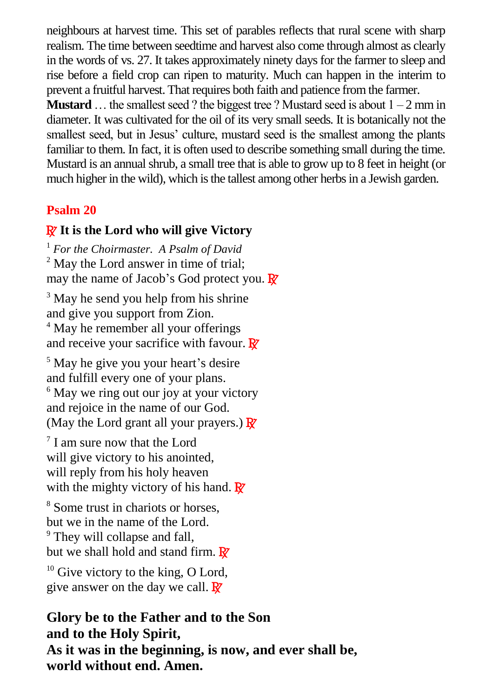neighbours at harvest time. This set of parables reflects that rural scene with sharp realism. The time between seedtime and harvest also come through almost as clearly in the words of vs. 27. It takes approximately ninety days for the farmer to sleep and rise before a field crop can ripen to maturity. Much can happen in the interim to prevent a fruitful harvest. That requires both faith and patience from the farmer. **Mustard** ... the smallest seed ? the biggest tree ? Mustard seed is about  $1 - 2$  mm in

diameter. It was cultivated for the oil of its very small seeds. It is botanically not the smallest seed, but in Jesus' culture, mustard seed is the smallest among the plants familiar to them. In fact, it is often used to describe something small during the time. Mustard is an annual shrub, a small tree that is able to grow up to 8 feet in height (or much higher in the wild), which is the tallest among other herbs in a Jewish garden.

# **Psalm 20**

## R **It is the Lord who will give Victory**

<sup>1</sup> *For the Choirmaster. A Psalm of David* <sup>2</sup> May the Lord answer in time of trial: may the name of Jacob's God protect you.  $\mathbb{R}^7$ 

<sup>3</sup> May he send you help from his shrine and give you support from Zion. <sup>4</sup> May he remember all your offerings and receive your sacrifice with favour.  $\mathbf{\mathbb{R}}$ 

<sup>5</sup> May he give you your heart's desire and fulfill every one of your plans. <sup>6</sup> May we ring out our joy at your victory and rejoice in the name of our God. (May the Lord grant all your prayers.)  $\mathbb{R}^7$ 

<sup>7</sup> I am sure now that the Lord will give victory to his anointed, will reply from his holy heaven with the mighty victory of his hand.  $\mathbf{\mathbb{R}}^n$ 

<sup>8</sup> Some trust in chariots or horses, but we in the name of the Lord. <sup>9</sup> They will collapse and fall, but we shall hold and stand firm.  $\mathbb{R}^7$ 

 $10$  Give victory to the king, O Lord, give answer on the day we call.  $\mathbb{R}^7$ 

# **Glory be to the Father and to the Son and to the Holy Spirit, As it was in the beginning, is now, and ever shall be, world without end. Amen.**